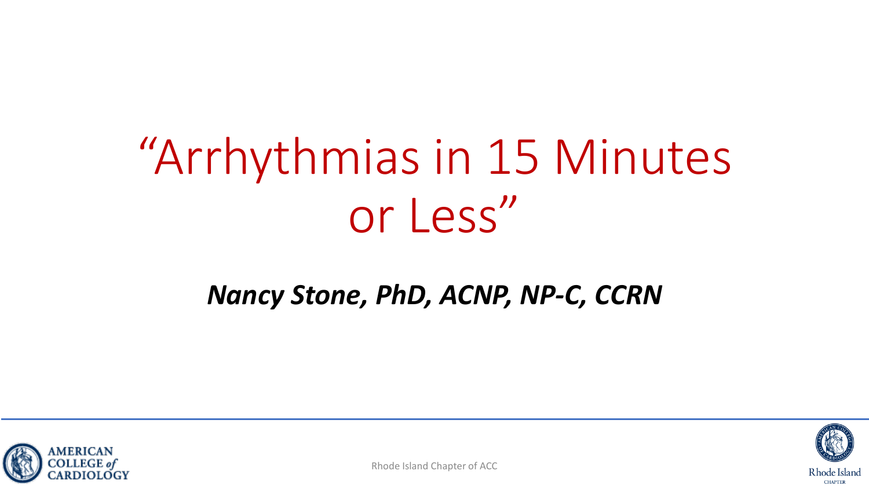# "Arrhythmias in 15 Minutes or Less"

#### *Nancy Stone, PhD, ACNP, NP-C, CCRN*





Rhode Island Chapter of ACC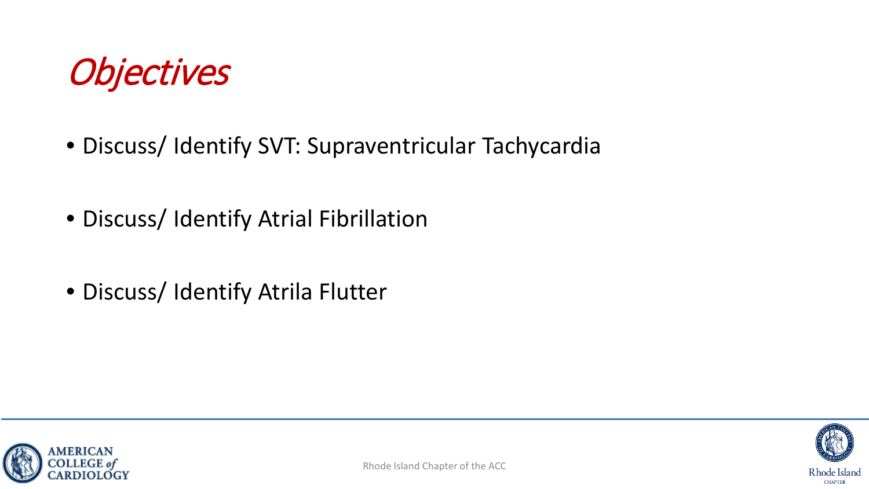

- Discuss/ Identify SVT: Supraventricular Tachycardia
- Discuss/ Identify Atrial Fibrillation
- Discuss/ Identify Atrila Flutter



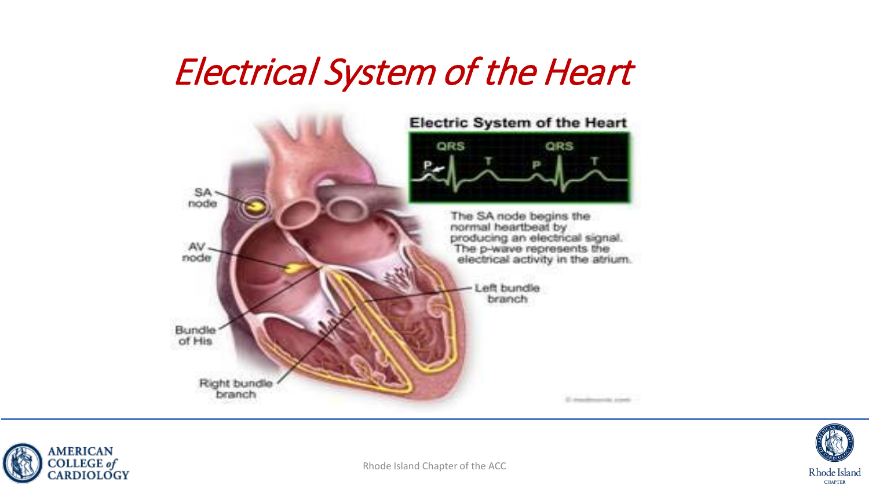#### Electrical System of the Heart





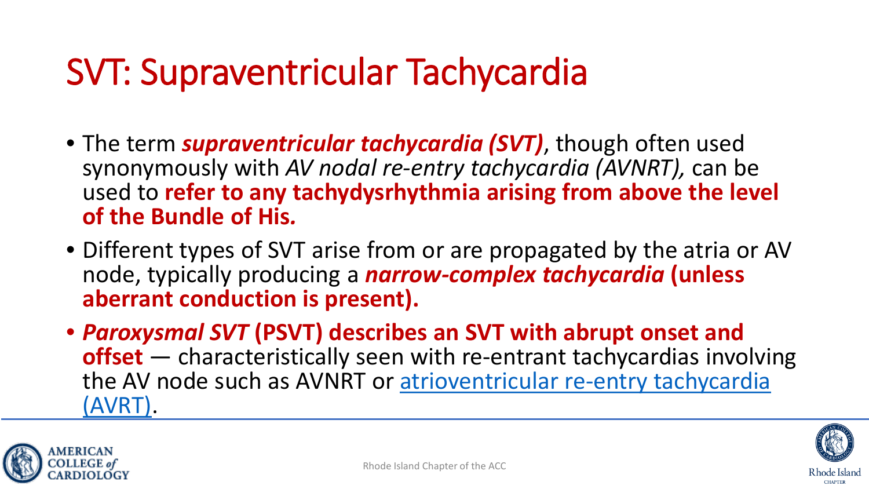# SVT: Supraventricular Tachycardia

- The term *supraventricular tachycardia (SVT)*, though often used synonymously with *AV nodal re-entry tachycardia (AVNRT),* can be used to **refer to any tachydysrhythmia arising from above the level of the Bundle of His***.*
- Different types of SVT arise from or are propagated by the atria or AV node, typically producing a *narrow-complex tachycardia* **(unless aberrant conduction is present).**
- *Paroxysmal SVT* **(PSVT) describes an SVT with abrupt onset and offset** — characteristically seen with re-entrant tachycardias involving the AV node such as AVNRT or atrioventricular [re-entry tachycardia](https://lifeinthefastlane.com/ecg-library/pre-excitation-syndromes/)  [\(AVRT\).](https://lifeinthefastlane.com/ecg-library/pre-excitation-syndromes/)

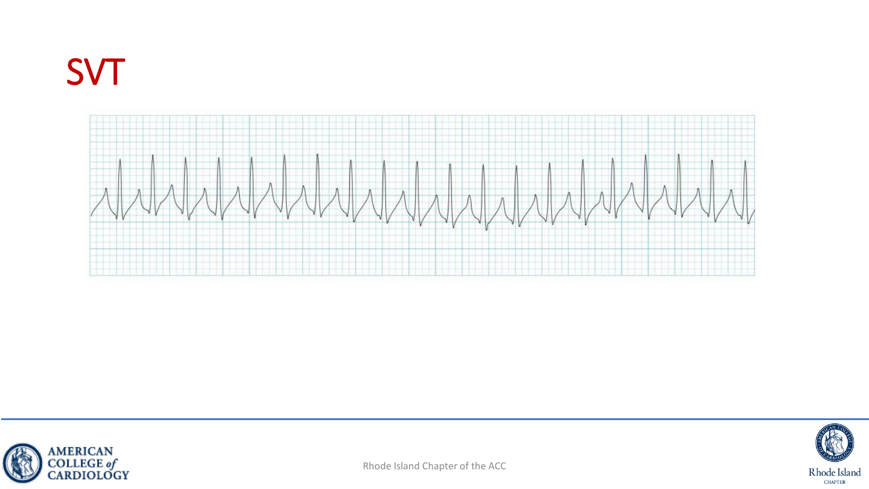







Rhode Island Chapter of the ACC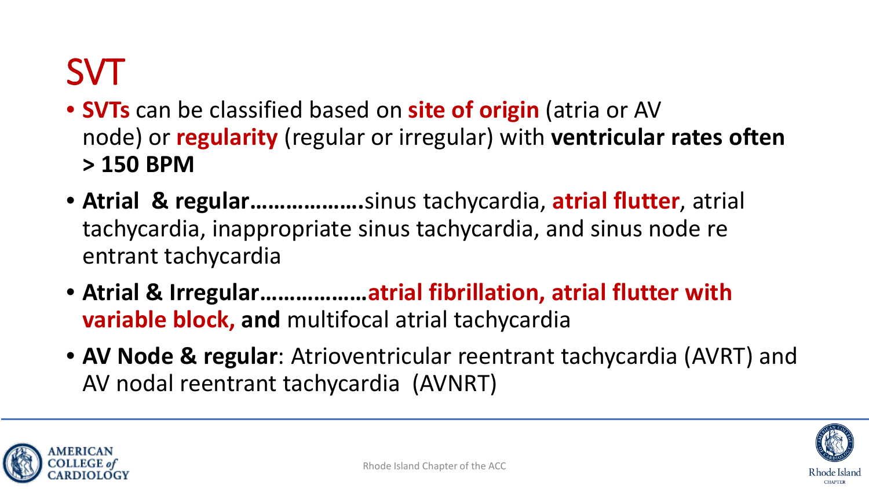# SVT

- **SVTs** can be classified based on **site of origin** (atria or AV node) or **regularity** (regular or irregular) with **ventricular rates often > 150 BPM**
- **Atrial & regular……………….**sinus tachycardia, **atrial flutter**, atrial tachycardia, inappropriate sinus tachycardia, and sinus node re entrant tachycardia
- **Atrial & Irregular………………atrial fibrillation, atrial flutter with variable block, and** multifocal atrial tachycardia
- **AV Node & regular**: Atrioventricular reentrant tachycardia (AVRT) and AV nodal reentrant tachycardia (AVNRT)



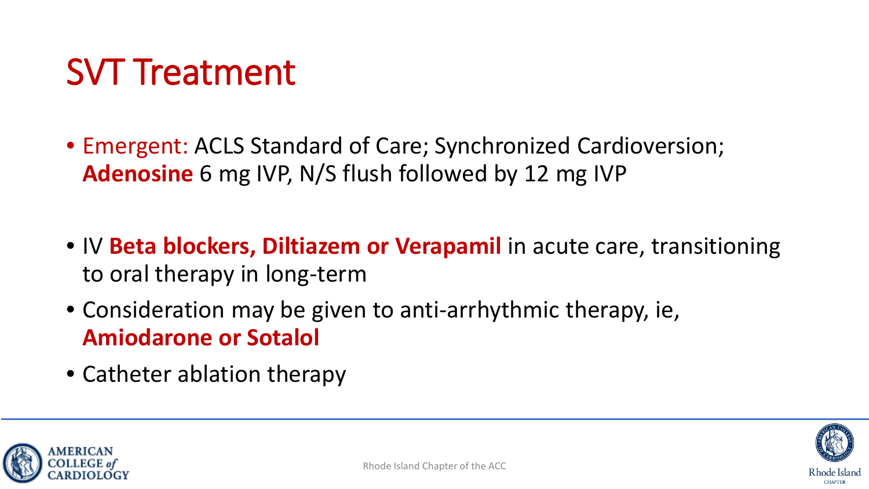#### SVT Treatment

- Emergent: ACLS Standard of Care; Synchronized Cardioversion; **Adenosine** 6 mg IVP, N/S flush followed by 12 mg IVP
- IV **Beta blockers, Diltiazem or Verapamil** in acute care, transitioning to oral therapy in long-term
- Consideration may be given to anti-arrhythmic therapy, ie, **Amiodarone or Sotalol**
- Catheter ablation therapy



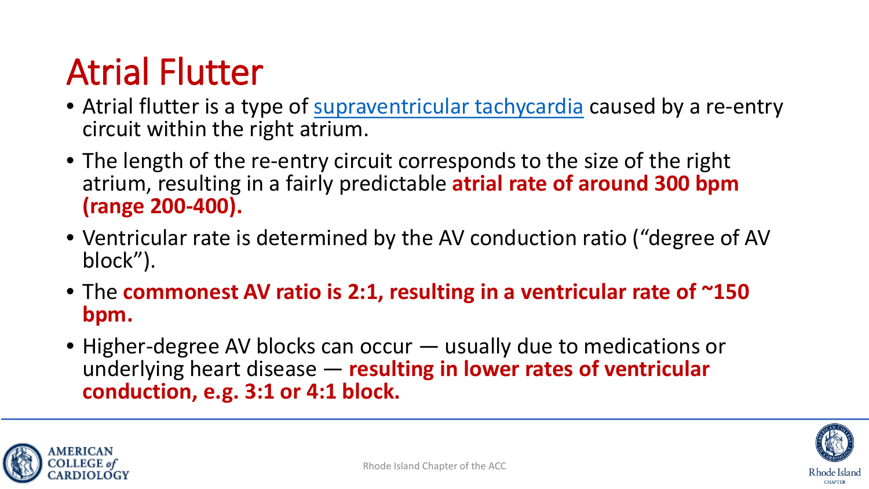# Atrial Flutter

- Atrial flutter is a type of [supraventricular tachycardia](https://lifeinthefastlane.com/ecg-library/svt/) caused by a re-entry circuit within the right atrium.
- The length of the re-entry circuit corresponds to the size of the right atrium, resulting in a fairly predictable **atrial rate of around 300 bpm (range 200-400).**
- Ventricular rate is determined by the AV conduction ratio ("degree of AV block").
- The **commonest AV ratio is 2:1, resulting in a ventricular rate of ~150 bpm.**
- Higher-degree AV blocks can occur usually due to medications or underlying heart disease — **resulting in lower rates of ventricular conduction, e.g. 3:1 or 4:1 block.**



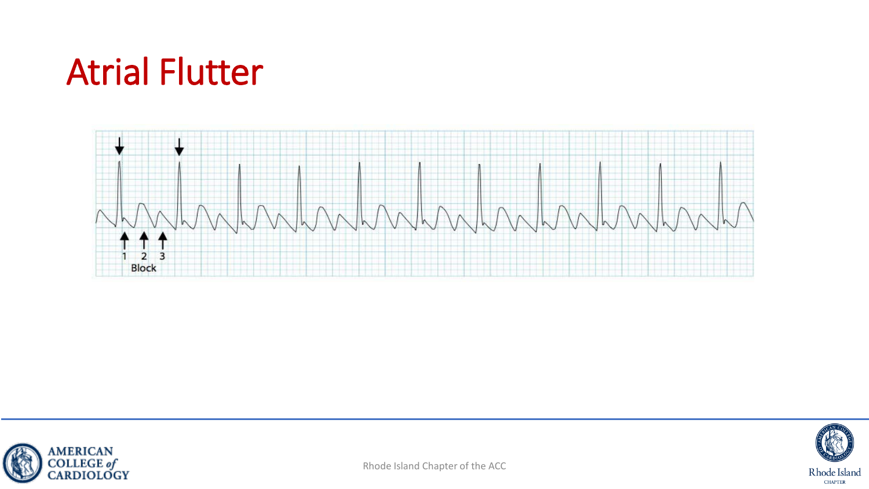### Atrial Flutter







Rhode Island **CHAPTER**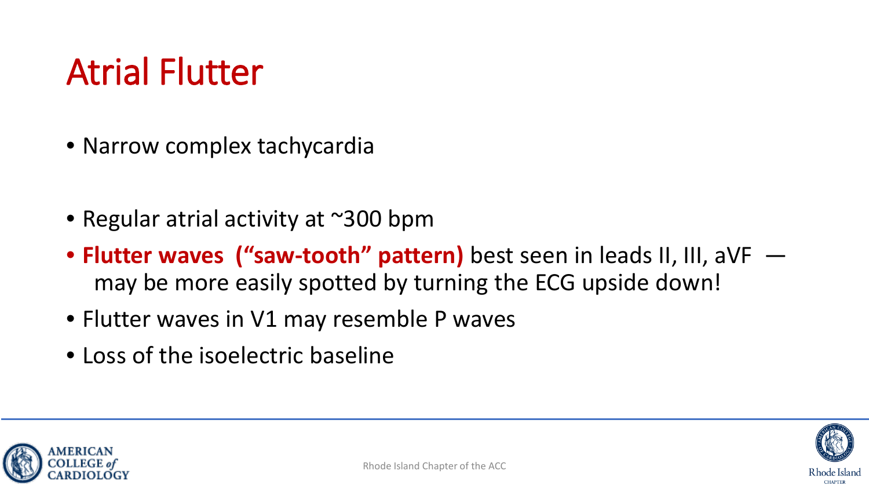### Atrial Flutter

- Narrow complex tachycardia
- Regular atrial activity at ~300 bpm
- **Flutter waves ("saw-tooth" pattern)** best seen in leads II, III, aVF may be more easily spotted by turning the ECG upside down!
- Flutter waves in V1 may resemble P waves
- Loss of the isoelectric baseline



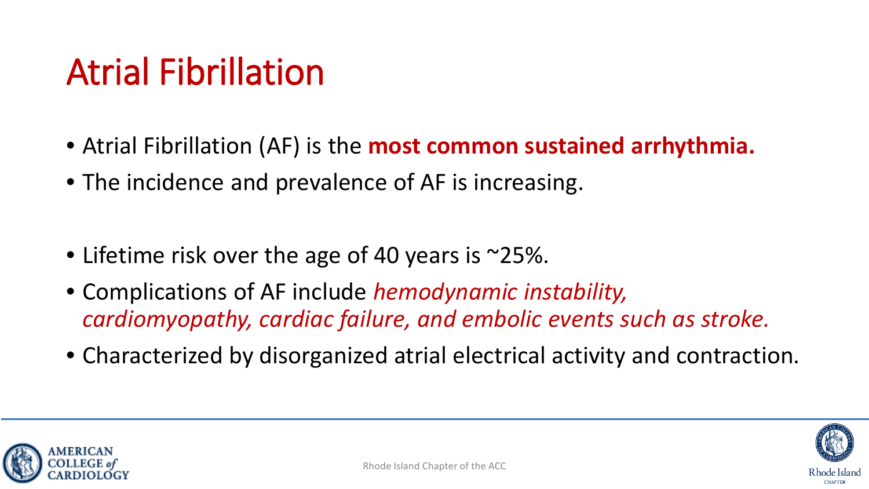# Atrial Fibrillation

- Atrial Fibrillation (AF) is the **most common sustained arrhythmia.**
- The incidence and prevalence of AF is increasing.
- Lifetime risk over the age of 40 years is ~25%.
- Complications of AF include *hemodynamic instability, cardiomyopathy, cardiac failure, and embolic events such as stroke.*
- Characterized by disorganized atrial electrical activity and contraction.

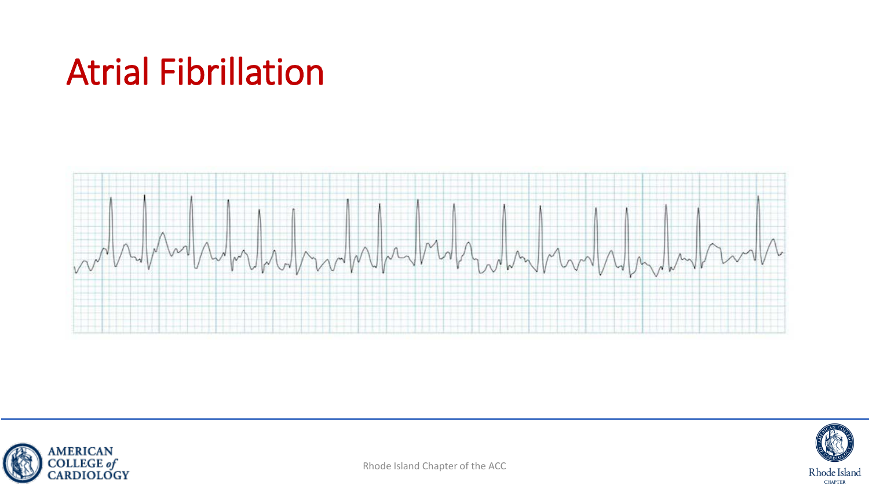# Atrial Fibrillation







Rhode Island Chapter of the ACC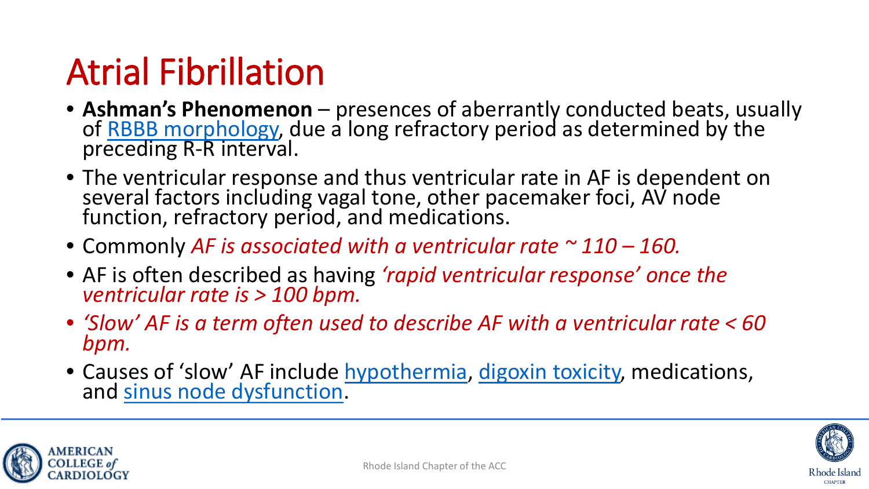# Atrial Fibrillation

- **Ashman's Phenomenon** presences of aberrantly conducted beats, usually of RBBB morphology, due a long refractory period as determined by the preceding R-R interval.
- The ventricular response and thus ventricular rate in AF is dependent on several factors including vagal tone, other pacemaker foci, AV node function, refractory period, and medications.
- Commonly *AF is associated with a ventricular rate ~ 110 – 160.*
- AF is often described as having *'rapid ventricular response' once the ventricular rate is > 100 bpm.*
- *'Slow' AF is a term often used to describe AF with a ventricular rate < 60 bpm.*
- Causes of 'slow' AF include [hypothermia,](https://lifeinthefastlane.com/ecg-library/basics/hypothermia/) [digoxin](https://lifeinthefastlane.com/ecg-library/basics/digoxin-toxicity/) toxicity, medications, and [sinus node dysfunction.](https://lifeinthefastlane.com/ecg-library/sick-sinus/)



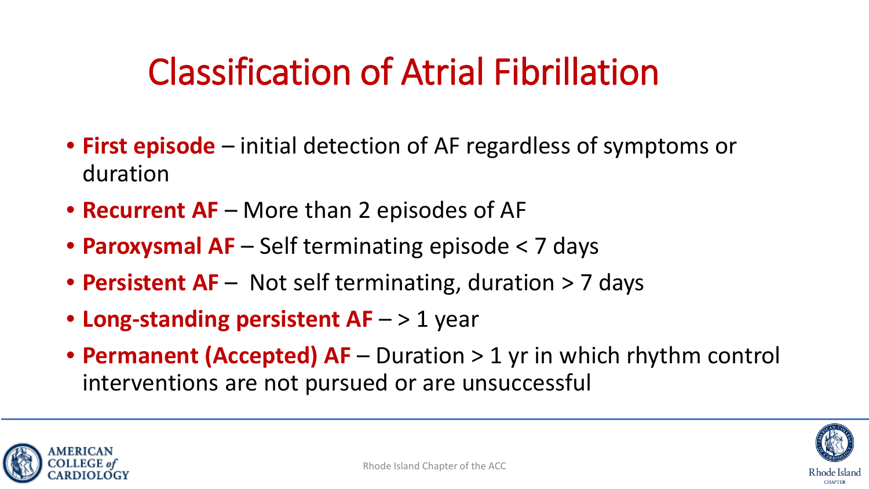# Classification of Atrial Fibrillation

- **First episode**  initial detection of AF regardless of symptoms or duration
- **Recurrent AF**  More than 2 episodes of AF
- **Paroxysmal AF**  Self terminating episode < 7 days
- **Persistent AF**  Not self terminating, duration > 7 days
- **Long-standing persistent AF**  > 1 year
- **Permanent (Accepted) AF**  Duration > 1 yr in which rhythm control interventions are not pursued or are unsuccessful





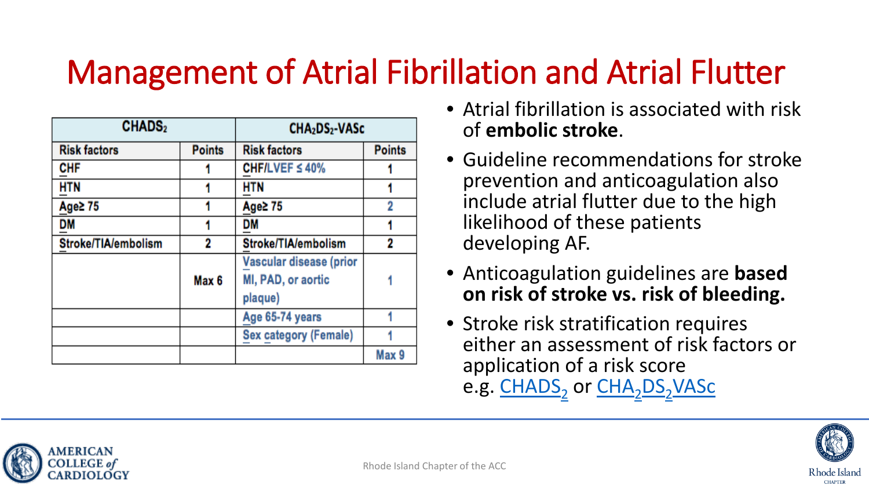#### Management of Atrial Fibrillation and Atrial Flutter

| CHADS <sub>2</sub>  |                  | CHA <sub>2</sub> DS <sub>2</sub> -VASc                   |               |
|---------------------|------------------|----------------------------------------------------------|---------------|
| <b>Risk factors</b> | <b>Points</b>    | <b>Risk factors</b>                                      | <b>Points</b> |
| CHF                 |                  | CHF/LVEF $\leq 40\%$                                     |               |
| <b>HTN</b>          |                  | HTN                                                      |               |
| Age≥ 75             |                  | Age≥ 75                                                  | 2             |
| DM                  |                  | DM                                                       |               |
| Stroke/TIA/embolism | 2                | Stroke/TIA/embolism                                      | 2             |
|                     | Max <sub>6</sub> | Vascular disease (prior<br>MI, PAD, or aortic<br>plaque) |               |
|                     |                  | Age 65-74 years                                          |               |
|                     |                  | <b>Sex category (Female)</b>                             |               |
|                     |                  |                                                          | Max 9         |

- Atrial fibrillation is associated with risk of **embolic stroke**.
- Guideline recommendations for stroke prevention and anticoagulation also include atrial flutter due to the high likelihood of these patients developing AF.
- Anticoagulation guidelines are **based on risk of stroke vs. risk of bleeding.**
- Stroke risk stratification requires either an assessment of risk factors or application of a risk score e.g. CHADS<sub>2</sub> or CHA<sub>2</sub>DS<sub>2</sub>VASc